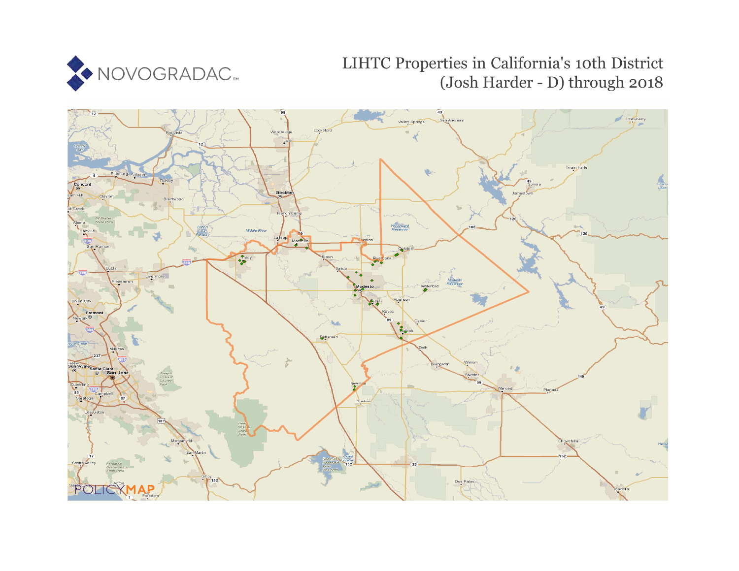

## LIHTC Properties in California's 10th District (Josh Harder - D) through 2018

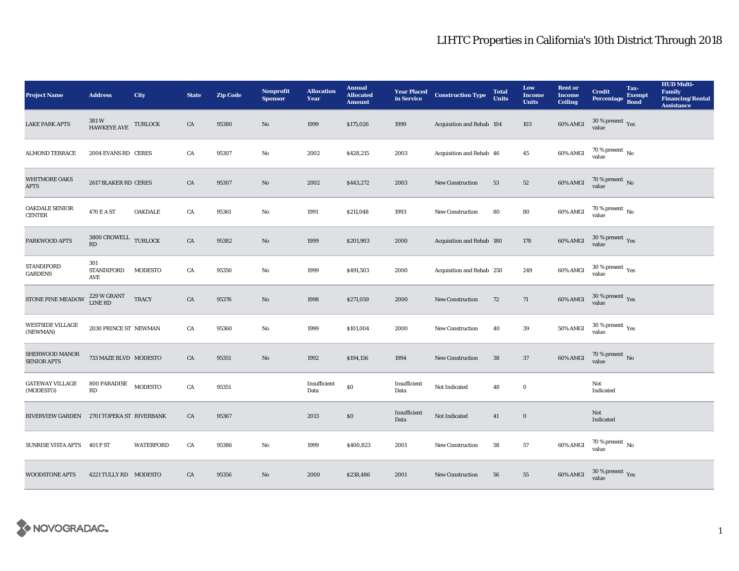## LIHTC Properties in California's 10th District Through 2018

| <b>Project Name</b>                       | <b>Address</b>                                 | City             | <b>State</b> | <b>Zip Code</b> | Nonprofit<br><b>Sponsor</b> | <b>Allocation</b><br>Year | <b>Annual</b><br><b>Allocated</b><br><b>Amount</b> | <b>Year Placed<br/>in Service</b> | <b>Construction Type</b>  | <b>Total</b><br><b>Units</b> | Low<br><b>Income</b><br><b>Units</b> | <b>Rent or</b><br><b>Income</b><br><b>Ceiling</b> | <b>Credit</b><br><b>Percentage</b> | Tax-<br><b>Exempt</b><br><b>Bond</b> | <b>HUD Multi-</b><br>Family<br><b>Financing/Rental</b><br><b>Assistance</b> |
|-------------------------------------------|------------------------------------------------|------------------|--------------|-----------------|-----------------------------|---------------------------|----------------------------------------------------|-----------------------------------|---------------------------|------------------------------|--------------------------------------|---------------------------------------------------|------------------------------------|--------------------------------------|-----------------------------------------------------------------------------|
| <b>LAKE PARK APTS</b>                     | 381W<br>HAWKEYE AVE                            | <b>TURLOCK</b>   | CA           | 95380           | $\mathbf{No}$               | 1999                      | \$175,026                                          | 1999                              | Acquisition and Rehab 104 |                              | $103\,$                              | $60\%$ AMGI                                       | $30\,\%$ present $\,$ Yes value    |                                      |                                                                             |
| <b>ALMOND TERRACE</b>                     | 2004 EVANS RD CERES                            |                  | CA           | 95307           | $\rm No$                    | 2002                      | \$428,215                                          | 2003                              | Acquisition and Rehab 46  |                              | $\bf 45$                             | 60% AMGI                                          | $70$ % present $\,$ No value       |                                      |                                                                             |
| WHITMORE OAKS<br><b>APTS</b>              | 2617 BLAKER RD CERES                           |                  | CA           | 95307           | $\rm No$                    | 2002                      | \$443,272                                          | 2003                              | <b>New Construction</b>   | 53                           | $52\,$                               | 60% AMGI                                          | $70$ % present $\,$ No value       |                                      |                                                                             |
| OAKDALE SENIOR<br><b>CENTER</b>           | 470 E A ST                                     | OAKDALE          | CA           | 95361           | $\rm No$                    | 1991                      | \$211,048                                          | 1993                              | New Construction          | 80                           | ${\bf 80}$                           | 60% AMGI                                          | 70 % present $\,$ No $\,$<br>value |                                      |                                                                             |
| PARKWOOD APTS                             | 3800 CROWELL TURLOCK<br>$\mathbf{R}\mathbf{D}$ |                  | ${\rm CA}$   | 95382           | $\rm No$                    | 1999                      | \$201,903                                          | 2000                              | Acquisition and Rehab 180 |                              | 178                                  | 60% AMGI                                          | $30\,\%$ present $\,$ Yes value    |                                      |                                                                             |
| <b>STANDIFORD</b><br><b>GARDENS</b>       | 301<br><b>STANDIFORD</b><br>AVE                | MODESTO          | CA           | 95350           | $\rm No$                    | 1999                      | \$491,503                                          | 2000                              | Acquisition and Rehab 250 |                              | 249                                  | 60% AMGI                                          | $30\,\%$ present $\,$ Yes value    |                                      |                                                                             |
| STONE PINE MEADOW                         | 229 W GRANT<br><b>LINE RD</b>                  | <b>TRACY</b>     | CA           | 95376           | $\mathbf{N}\mathbf{o}$      | 1998                      | \$271,059                                          | 2000                              | New Construction          | 72                           | 71                                   | 60% AMGI                                          | $30\,\%$ present $\,$ Yes value    |                                      |                                                                             |
| <b>WESTSIDE VILLAGE</b><br>(NEWMAN)       | 2030 PRINCE ST NEWMAN                          |                  | CA           | 95360           | $\mathbf{No}$               | 1999                      | \$101,004                                          | 2000                              | New Construction          | 40                           | 39                                   | <b>50% AMGI</b>                                   | $30\,\%$ present $\,$ Yes value    |                                      |                                                                             |
| SHERWOOD MANOR<br><b>SENIOR APTS</b>      | 733 MAZE BLVD MODESTO                          |                  | CA           | 95351           | $\mathbf{No}$               | 1992                      | \$194,156                                          | 1994                              | <b>New Construction</b>   | 38                           | 37                                   | $60\%$ AMGI                                       | $70$ % present $\,$ No value       |                                      |                                                                             |
| <b>GATEWAY VILLAGE</b><br>(MODESTO)       | 800 PARADISE<br>RD                             | <b>MODESTO</b>   | CA           | 95351           |                             | Insufficient<br>Data      | $\$0$                                              | Insufficient<br>Data              | Not Indicated             | 48                           | $\mathbf 0$                          |                                                   | Not<br>Indicated                   |                                      |                                                                             |
| RIVERVIEW GARDEN 2701 TOPEKA ST RIVERBANK |                                                |                  | CA           | 95367           |                             | 2013                      | $\$0$                                              | Insufficient<br>Data              | Not Indicated             | 41                           | $\bf{0}$                             |                                                   | Not<br>Indicated                   |                                      |                                                                             |
| <b>SUNRISE VISTA APTS</b>                 | 401 F ST                                       | <b>WATERFORD</b> | CA           | 95386           | $\rm No$                    | 1999                      | \$400,823                                          | 2001                              | New Construction          | 58                           | $57\,$                               | 60% AMGI                                          | 70 % present $\,$ No $\,$<br>value |                                      |                                                                             |
| <b>WOODSTONE APTS</b>                     | 4221 TULLY RD MODESTO                          |                  | CA           | 95356           | No                          | 2000                      | \$238,486                                          | 2001                              | <b>New Construction</b>   | 56                           | 55                                   | 60% AMGI                                          | $30\,\%$ present $\,$ Yes value    |                                      |                                                                             |

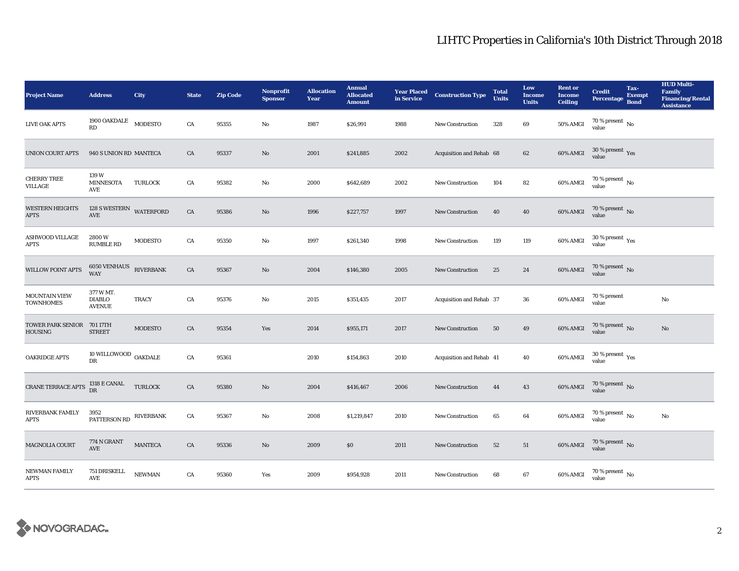## LIHTC Properties in California's 10th District Through 2018

| <b>Project Name</b>                        | <b>Address</b>                              | City             | <b>State</b> | <b>Zip Code</b> | <b>Nonprofit</b><br><b>Sponsor</b> | <b>Allocation</b><br>Year | <b>Annual</b><br><b>Allocated</b><br><b>Amount</b> |      | <b>Year Placed Construction Type</b><br>in Service | <b>Total</b><br><b>Units</b> | Low<br><b>Income</b><br><b>Units</b> | <b>Rent or</b><br><b>Income</b><br><b>Ceiling</b> | <b>Credit</b><br><b>Percentage</b> | Tax-<br><b>Exempt</b><br><b>Bond</b> | <b>HUD Multi-</b><br>Family<br><b>Financing/Rental</b><br><b>Assistance</b> |
|--------------------------------------------|---------------------------------------------|------------------|--------------|-----------------|------------------------------------|---------------------------|----------------------------------------------------|------|----------------------------------------------------|------------------------------|--------------------------------------|---------------------------------------------------|------------------------------------|--------------------------------------|-----------------------------------------------------------------------------|
| <b>LIVE OAK APTS</b>                       | $1900$ OAKDALE $\_$ MODESTO<br>RD           |                  | CA           | 95355           | No                                 | 1987                      | \$26,991                                           | 1988 | New Construction                                   | 328                          | 69                                   | <b>50% AMGI</b>                                   | 70 % present $\,$ No $\,$<br>value |                                      |                                                                             |
| <b>UNION COURT APTS</b>                    | 940 S UNION RD MANTECA                      |                  | CA           | 95337           | $\rm No$                           | 2001                      | \$241,885                                          | 2002 | Acquisition and Rehab 68                           |                              | 62                                   | 60% AMGI                                          | $30\,\%$ present $\,$ Yes value    |                                      |                                                                             |
| <b>CHERRY TREE</b><br>VILLAGE              | 139W<br><b>MINNESOTA</b><br>AVE             | <b>TURLOCK</b>   | CA           | 95382           | No                                 | 2000                      | \$642,689                                          | 2002 | <b>New Construction</b>                            | 104                          | 82                                   | 60% AMGI                                          | $70$ % present $\,$ No value       |                                      |                                                                             |
| <b>WESTERN HEIGHTS</b><br><b>APTS</b>      | 128 S WESTERN WATERFORD<br>AVE              |                  | ${\rm CA}$   | 95386           | $\rm No$                           | 1996                      | \$227,757                                          | 1997 | New Construction                                   | 40                           | ${\bf 40}$                           | 60% AMGI                                          | $70$ % present $\,$ No value       |                                      |                                                                             |
| <b>ASHWOOD VILLAGE</b><br><b>APTS</b>      | 2800W<br><b>RUMBLE RD</b>                   | <b>MODESTO</b>   | ${\rm CA}$   | 95350           | No                                 | 1997                      | \$261,340                                          | 1998 | New Construction                                   | 119                          | 119                                  | 60% AMGI                                          | $30\,\%$ present $\,$ Yes value    |                                      |                                                                             |
| <b>WILLOW POINT APTS</b>                   | <b>6050 VENHAUS</b><br><b>WAY</b>           | <b>RIVERBANK</b> | CA           | 95367           | $\mathbf{N}\mathbf{o}$             | 2004                      | \$146,380                                          | 2005 | <b>New Construction</b>                            | 25                           | 24                                   | 60% AMGI                                          | $70$ % present $_{\rm{No}}$        |                                      |                                                                             |
| <b>MOUNTAIN VIEW</b><br><b>TOWNHOMES</b>   | 377 W MT.<br><b>DIABLO</b><br><b>AVENUE</b> | <b>TRACY</b>     | CA           | 95376           | No                                 | 2015                      | \$351,435                                          | 2017 | Acquisition and Rehab 37                           |                              | 36                                   | 60% AMGI                                          | 70 % present<br>value              |                                      | $\mathbf{N}\mathbf{o}$                                                      |
| <b>TOWER PARK SENIOR</b><br><b>HOUSING</b> | 701 17TH<br><b>STREET</b>                   | <b>MODESTO</b>   | CA           | 95354           | Yes                                | 2014                      | \$955,171                                          | 2017 | New Construction                                   | 50                           | 49                                   | 60% AMGI                                          | $70$ % present $\,$ No value       |                                      | $\rm No$                                                                    |
| <b>OAKRIDGE APTS</b>                       | 10 WILLOWOOD $\,$ OAKDALE<br>DR             |                  | ${\rm CA}$   | 95361           |                                    | 2010                      | \$154,863                                          | 2010 | Acquisition and Rehab 41                           |                              | 40                                   | 60% AMGI                                          | $30\,\%$ present $\,$ Yes value    |                                      |                                                                             |
| <b>CRANE TERRACE APTS</b>                  | 1318 E CANAL<br>DR                          | <b>TURLOCK</b>   | CA           | 95380           | No                                 | 2004                      | \$416,467                                          | 2006 | <b>New Construction</b>                            | 44                           | 43                                   | 60% AMGI                                          | $70\,\%$ present $\,$ No value     |                                      |                                                                             |
| RIVERBANK FAMILY<br><b>APTS</b>            | 3952<br>PATTERSON RD                        | <b>RIVERBANK</b> | ${\rm CA}$   | 95367           | No                                 | 2008                      | \$1,219,847                                        | 2010 | New Construction                                   | 65                           | $\bf{64}$                            | 60% AMGI                                          | $70\,\%$ present $_{\rm{No}}$      |                                      | $\rm No$                                                                    |
| MAGNOLIA COURT                             | <b>774 N GRANT</b><br>AVE                   | <b>MANTECA</b>   | CA           | 95336           | $\mathbf{N}\mathbf{o}$             | 2009                      | \$0                                                | 2011 | New Construction                                   | 52                           | 51                                   | 60% AMGI                                          | $70\,\%$ present $\,$ No value     |                                      |                                                                             |
| NEWMAN FAMILY<br><b>APTS</b>               | 751 DRISKELL<br>AVE                         | <b>NEWMAN</b>    | CA           | 95360           | Yes                                | 2009                      | \$954,928                                          | 2011 | <b>New Construction</b>                            | 68                           | 67                                   | 60% AMGI                                          | $70\,\%$ present $\,$ No value     |                                      |                                                                             |

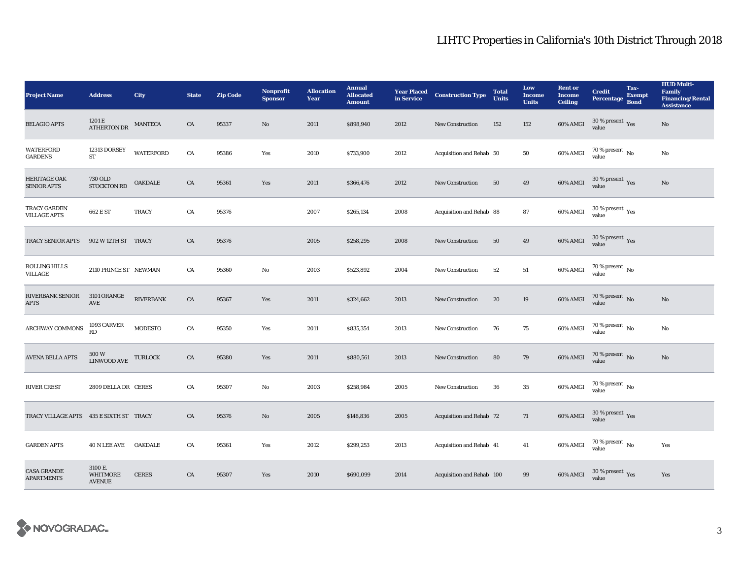## LIHTC Properties in California's 10th District Through 2018

| <b>Project Name</b>                       | <b>Address</b>                              | <b>City</b>      | <b>State</b> | <b>Zip Code</b> | <b>Nonprofit</b><br><b>Sponsor</b> | <b>Allocation</b><br>Year | <b>Annual</b><br><b>Allocated</b><br><b>Amount</b> | <b>Year Placed<br/>in Service</b> | <b>Construction Type</b>  | <b>Total</b><br><b>Units</b> | Low<br><b>Income</b><br><b>Units</b> | <b>Rent or</b><br><b>Income</b><br><b>Ceiling</b> | <b>Credit</b><br>Percentage Bond        | Tax-<br><b>Exempt</b> | <b>HUD Multi-</b><br>Family<br><b>Financing/Rental</b><br><b>Assistance</b> |
|-------------------------------------------|---------------------------------------------|------------------|--------------|-----------------|------------------------------------|---------------------------|----------------------------------------------------|-----------------------------------|---------------------------|------------------------------|--------------------------------------|---------------------------------------------------|-----------------------------------------|-----------------------|-----------------------------------------------------------------------------|
| <b>BELAGIO APTS</b>                       | 1201 E<br><b>ATHERTON DR</b>                | <b>MANTECA</b>   | CA           | 95337           | No                                 | 2011                      | \$898,940                                          | 2012                              | <b>New Construction</b>   | 152                          | 152                                  | 60% AMGI                                          | $30\,\%$ present $\,$ Yes value         |                       | No                                                                          |
| <b>WATERFORD</b><br><b>GARDENS</b>        | 12313 DORSEY<br>ST                          | <b>WATERFORD</b> | ${\rm CA}$   | 95386           | Yes                                | 2010                      | \$733,900                                          | 2012                              | Acquisition and Rehab 50  |                              | 50                                   | 60% AMGI                                          | $70$ % present $\,$ No value            |                       | No                                                                          |
| <b>HERITAGE OAK</b><br><b>SENIOR APTS</b> | <b>730 OLD</b><br><b>STOCKTON RD</b>        | OAKDALE          | CA           | 95361           | Yes                                | 2011                      | \$366,476                                          | 2012                              | <b>New Construction</b>   | 50                           | 49                                   | 60% AMGI                                          | $30\,\%$ present $\,$ Yes value         |                       | $\mathbf{N}\mathbf{o}$                                                      |
| TRACY GARDEN<br><b>VILLAGE APTS</b>       | 662 E ST                                    | <b>TRACY</b>     | CA           | 95376           |                                    | 2007                      | \$265,134                                          | 2008                              | Acquisition and Rehab 88  |                              | 87                                   | 60% AMGI                                          | $30\,\%$ present $\,$ Yes value         |                       |                                                                             |
| TRACY SENIOR APTS                         | 902 W 12TH ST TRACY                         |                  | CA           | 95376           |                                    | 2005                      | \$258,295                                          | 2008                              | <b>New Construction</b>   | 50                           | 49                                   | 60% AMGI                                          | $30\,\%$ present $\,$ Yes value         |                       |                                                                             |
| <b>ROLLING HILLS</b><br>VILLAGE           | 2110 PRINCE ST NEWMAN                       |                  | CA           | 95360           | No                                 | 2003                      | \$523,892                                          | 2004                              | <b>New Construction</b>   | 52                           | 51                                   | 60% AMGI                                          | $70$ % present $\,$ No $\,$<br>value    |                       |                                                                             |
| RIVERBANK SENIOR<br><b>APTS</b>           | 3101 ORANGE<br>AVE                          | <b>RIVERBANK</b> | CA           | 95367           | Yes                                | 2011                      | \$324,662                                          | 2013                              | <b>New Construction</b>   | 20                           | 19                                   | 60% AMGI                                          | $70\%$ present No<br>value              |                       | No                                                                          |
| <b>ARCHWAY COMMONS</b>                    | 1093 CARVER<br>$\mathbf{R}\mathbf{D}$       | <b>MODESTO</b>   | CA           | 95350           | Yes                                | 2011                      | \$835,354                                          | 2013                              | <b>New Construction</b>   | 76                           | 75                                   | 60% AMGI                                          | $70$ % present $\,$ No value            |                       | No                                                                          |
| <b>AVENA BELLA APTS</b>                   | 500 W<br>LINWOOD AVE                        | <b>TURLOCK</b>   | CA           | 95380           | Yes                                | 2011                      | \$880,561                                          | 2013                              | <b>New Construction</b>   | 80                           | 79                                   | 60% AMGI                                          | $70$ % present $\,$ No value            |                       | No                                                                          |
| <b>RIVER CREST</b>                        | 2809 DELLA DR CERES                         |                  | CA           | 95307           | No                                 | 2003                      | \$258,984                                          | 2005                              | <b>New Construction</b>   | 36                           | $35\,$                               | $60\%$ AMGI                                       | $70$ % present $\,$ No $\,$<br>value    |                       |                                                                             |
| TRACY VILLAGE APTS 435 E SIXTH ST TRACY   |                                             |                  | CA           | 95376           | No                                 | 2005                      | \$148,836                                          | 2005                              | Acquisition and Rehab 72  |                              | 71                                   | 60% AMGI                                          | $30\,\%$ present $\,\mathrm{Yes}$ value |                       |                                                                             |
| <b>GARDEN APTS</b>                        | 40 N LEE AVE                                | <b>OAKDALE</b>   | CA           | 95361           | Yes                                | 2012                      | \$299,253                                          | 2013                              | Acquisition and Rehab 41  |                              | 41                                   | 60% AMGI                                          | $70\,\%$ present $\,$ No value          |                       | Yes                                                                         |
| <b>CASA GRANDE</b><br><b>APARTMENTS</b>   | 3100 E.<br><b>WHITMORE</b><br><b>AVENUE</b> | <b>CERES</b>     | CA           | 95307           | Yes                                | 2010                      | \$690,099                                          | 2014                              | Acquisition and Rehab 100 |                              | 99                                   | 60% AMGI                                          | $30\,\%$ present $\,\mathrm{Yes}$ value |                       | Yes                                                                         |